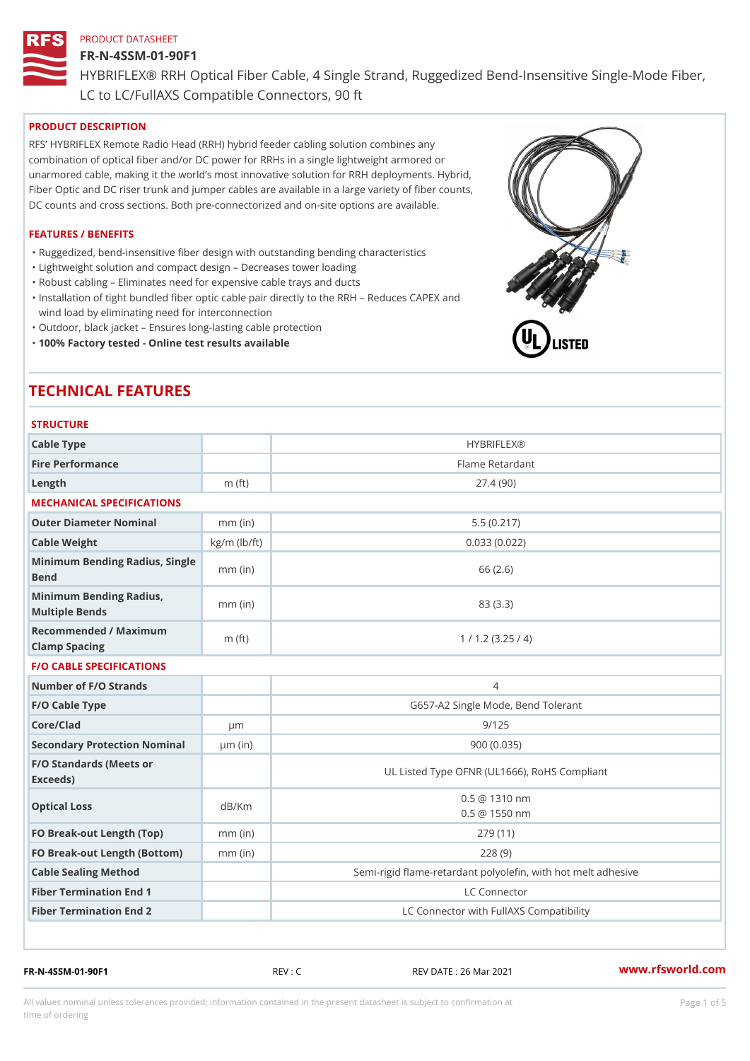#### FR-N-4SSM-01-90F1

HYBRIFLEX® RRH Optical Fiber Cable, 4 Single Strand, Ruggedized Be

LC to LC/FullAXS Compatible Connectors, 90 ft

#### PRODUCT DESCRIPTION

RFS HYBRIFLEX Remote Radio Head (RRH) hybrid feeder cabling solution combines any combination of optical fiber and/or DC power for RRHs in a single lightweight armored or unarmored cable, making it the world s most innovative solution for RRH deployments. Hybrid, Fiber Optic and DC riser trunk and jumper cables are available in a large variety of fiber counts, DC counts and cross sections. Both pre-connectorized and on-site options are available.

#### FEATURES / BENEFITS

"Ruggedized, bend-insensitive fiber design with outstanding bending characteristics

- "Lightweight solution and compact design Decreases tower loading
- "Robust cabling Eliminates need for expensive cable trays and ducts
- "Installation of tight bundled fiber optic cable pair directly to the RRH Aeduces CAPEX and wind load by eliminating need for interconnection
- "Outdoor, black jacket Ensures long-lasting cable protection
- "100% Factory tested Online test results available

# TECHNICAL FEATURES

# STRUCTURE.

| Cable Type                                        |                    | <b>HYBRIFLEX®</b>                                       |
|---------------------------------------------------|--------------------|---------------------------------------------------------|
| Fire Performance                                  |                    | Flame Retardant                                         |
| Length                                            | $m$ (ft)           | 27.4(90)                                                |
| MECHANICAL SPECIFICATIONS                         |                    |                                                         |
| Outer Diameter Nominal                            | $mm$ (in)          | 5.5(0.217)                                              |
| Cable Weight                                      | $kg/m$ ( $lb/ft$ ) | 0.033(0.022)                                            |
| Minimum Bending Radius, Single<br>Bend            |                    | 66 (2.6)                                                |
| Minimum Bending Radius, mm (in)<br>Multiple Bends |                    | 83 (3.3)                                                |
| Recommended / Maximum<br>Clamp Spacing            | m $(ft)$           | 1 / 1.2 (3.25 / 4)                                      |
| <b>F/O CABLE SPECIFICATIONS</b>                   |                    |                                                         |
| Number of F/O Strands                             |                    | 4                                                       |
| F/O Cable Type                                    |                    | G657-A2 Single Mode, Bend Tolerant                      |
| Core/Clad                                         | $\mu$ m            | 9/125                                                   |
| Secondary Protection Nomimal(in)                  |                    | 900 (0.035)                                             |
| F/O Standards (Meets or<br>Exceeds)               |                    | UL Listed Type OFNR (UL1666), RoHS Compliant            |
| Optical Loss                                      | dB/Km              | $0.5 \ @ \ 1310 \ nm$<br>$0.5 \ @ \ 1550 \ nm$          |
| FO Break-out Length (Top)mm (in)                  |                    | 279 (11)                                                |
| FO Break-out Length (Bottomm) (in)                |                    | 228(9)                                                  |
| Cable Sealing Method                              |                    | Semi-rigid flame-retardant polyolefin, with hot melt ad |
| Fiber Termination End                             |                    | LC Connector                                            |
| Fiber Termination End 2                           |                    | LC Connector with FullAXS Compatibility                 |

FR-N-4SSM-01-90F1 REV : C REV DATE : 26 Mar 2021 [www.](https://www.rfsworld.com)rfsworld.com

All values nominal unless tolerances provided; information contained in the present datasheet is subject to Pcapgeight Stid time of ordering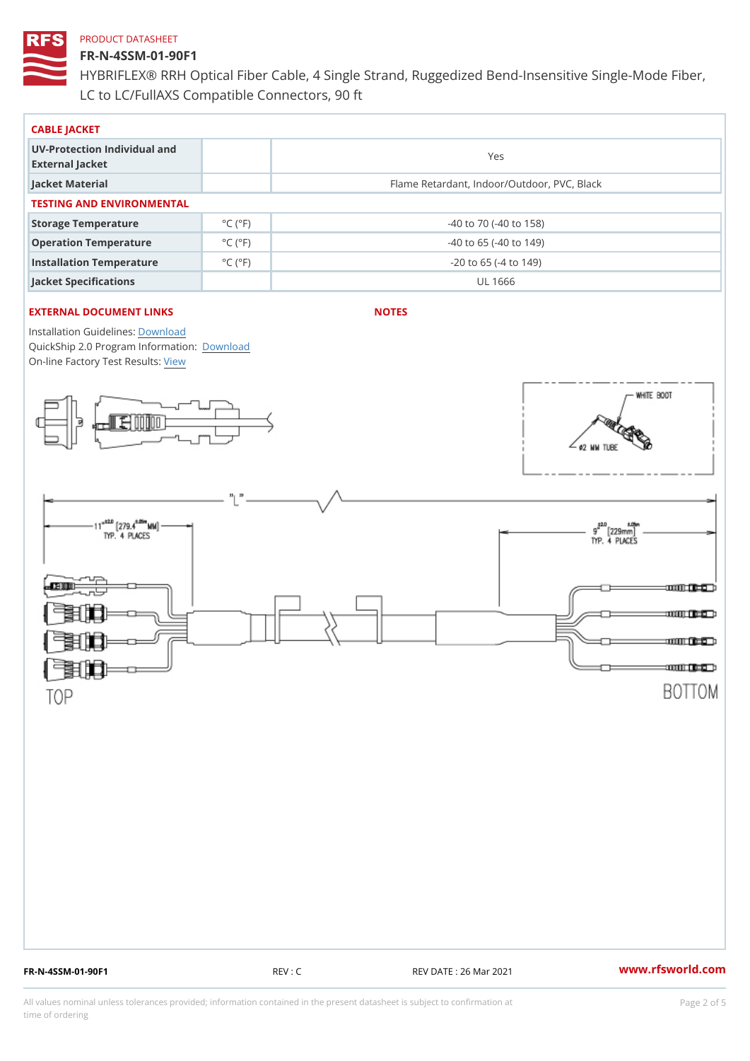## FR-N-4SSM-01-90F1

HYBRIFLEX® RRH Optical Fiber Cable, 4 Single Strand, Ruggedized Be LC to LC/FullAXS Compatible Connectors, 90 ft

| CABLE JACKET                                    |                             |                                             |  |  |  |  |
|-------------------------------------------------|-----------------------------|---------------------------------------------|--|--|--|--|
| UV-Protection Individual and<br>External Jacket |                             | Yes                                         |  |  |  |  |
| Jacket Material                                 |                             | Flame Retardant, Indoor/Outdoor, PVC, Black |  |  |  |  |
| TESTING AND ENVIRONMENTAL                       |                             |                                             |  |  |  |  |
| Storage Temperature                             | $^{\circ}$ C ( $^{\circ}$ F | $-40$ to $70$ ( $-40$ to $158$ )            |  |  |  |  |
| Operation Temperature                           | $^{\circ}$ C ( $^{\circ}$ F | $-40$ to 65 ( $-40$ to 149)                 |  |  |  |  |
| Installation Temperature                        | $^{\circ}$ C ( $^{\circ}$ F | $-20$ to 65 ( $-4$ to 149)                  |  |  |  |  |
| Jacket Specifications                           |                             | UL 1666                                     |  |  |  |  |

#### EXTERNAL DOCUMENT LINKS

NOTES

Installation Guidelwinessad QuickShip 2.0 Program [Informa](http://www.rfsworld.com/images/hybriflex/quickship_program_2.pdf)tion: On-line Factory Te[s](https://www.rfsworld.com/pictures/userfiles/programs/AAST Latest Version.zip)teResults:

FR-N-4SSM-01-90F1 REV : C REV DATE : 26 Mar 2021 [www.](https://www.rfsworld.com)rfsworld.com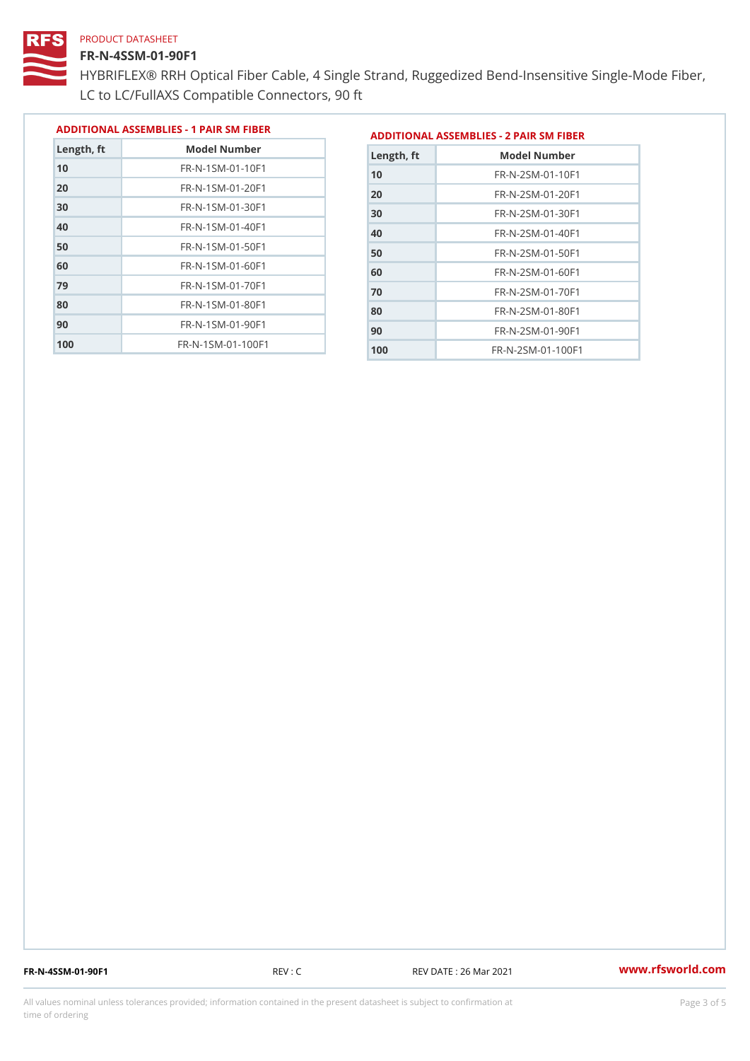#### FR-N-4SSM-01-90F1

 FR-N-1SM-01-70F1 FR-N-1SM-01-80F1 FR-N-1SM-01-90F1 FR-N-1SM-01-100F1

HYBRIFLEX® RRH Optical Fiber Cable, 4 Single Strand, Ruggedized Be LC to LC/FullAXS Compatible Connectors, 90 ft

> FR-N-2SM-01-70F1 FR-N-2SM-01-80F1 FR-N-2SM-01-90F1 FR-N-2SM-01-100F1

|               |                                |               | ADDITIONAL ASSEMBLIES - 1 PAIR SM FIBERDDITIONAL ASSEMBLIES - 2 PAIR SM FIBER |
|---------------|--------------------------------|---------------|-------------------------------------------------------------------------------|
| $L$ ength, ft | Model Number                   | $L$ ength, ft | Model Number                                                                  |
| 10            | $FR - N - 1$ S M - 01 - 10 F 1 | 10            | FR-N-2SM-01-10F1                                                              |
| 20            | $FR - N - 1$ S M - 01 - 20 F 1 | 20            | $FR - N - 2 SM - 01 - 20 F1$                                                  |
| 30            | $FR - N - 1$ S M - 01 - 30 F 1 | 30            | $FR - N - 2 SM - 01 - 30 F1$                                                  |
| 40            | $FR - N - 1 SM - 01 - 40 F1$   | 40            | $FR - N - 2 SM - 01 - 40 F1$                                                  |
| 50            | $FR - N - 1$ S M - 01 - 50 F 1 | 50            | FR-N-2SM-01-50F1                                                              |
| 60            | $FR - N - 1$ S M - 01 - 60 F 1 | 60            | $FR - N - 2 SM - 01 - 60 F1$                                                  |

FR-N-4SSM-01-90F1 REV : C REV DATE : 26 Mar 2021 [www.](https://www.rfsworld.com)rfsworld.com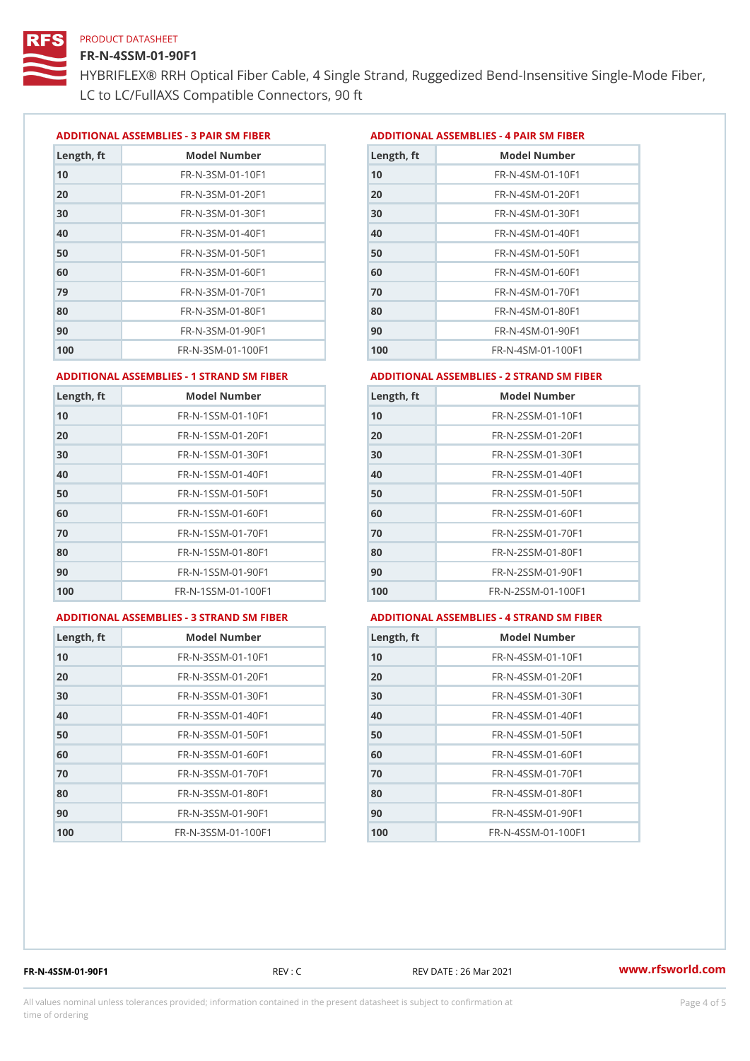#### FR-N-4SSM-01-90F1

HYBRIFLEX® RRH Optical Fiber Cable, 4 Single Strand, Ruggedized Be LC to LC/FullAXS Compatible Connectors, 90 ft

ADDITIONAL ASSEMBLIES - 3 PAIR SM FIBERED DITIONAL ASSEMBLIES - 4 PAIR SM FIBER

| Length, ft | Model Number                   |
|------------|--------------------------------|
| 10         | $FR - N - 3 S M - 01 - 10 F1$  |
| 20         | FR-N-3SM-01-20F1               |
| 30         | FR-N-3SM-01-30F1               |
| 40         | $FR - N - 3 S M - 01 - 40 F1$  |
| 50         | FR-N-3SM-01-50F1               |
| 60         | $FR - N - 3 S M - 01 - 60 F1$  |
| 79         | $FR - N - 3 S M - 01 - 70 F1$  |
| 80         | $FR - N - 3 S M - 01 - 80 F1$  |
| 90         | FR-N-3SM-01-90F1               |
| 100        | $FR - N - 3 S M - 01 - 100 F1$ |

| Length, ft | Model Number                   |
|------------|--------------------------------|
| 10         | FR-N-4SM-01-10F1               |
| 20         | $FR - N - 4 SM - 01 - 20 F1$   |
| 30         | $FR - N - 4 S M - 01 - 30 F1$  |
| 40         | $FR - N - 4 SM - 01 - 40 F1$   |
| 50         | FR-N-4SM-01-50F1               |
| 60         | $FR - N - 4 SM - 01 - 60 F1$   |
| 70         | FR-N-4SM-01-70F1               |
| 80         | $FR - N - 4 S M - 01 - 80 F1$  |
| 90         | FR-N-4SM-01-90F1               |
| 100        | $FR - N - 4 S M - 01 - 100 F1$ |

#### ADDITIONAL ASSEMBLIES - 1 STRAND SM FABSDRTIONAL ASSEMBLIES - 2 STRAND SM FIBER

| Length, ft | Model Number                     | $L$ ength, ft | Model Number                |
|------------|----------------------------------|---------------|-----------------------------|
| 10         | FR-N-1SSM-01-10F1                | 10            | FR-N-2SSM-01-10F1           |
| 20         | FR-N-1SSM-01-20F1                | 20            | FR-N-2SSM-01-20F1           |
| 30         | FR-N-1SSM-01-30F1                | 30            | FR-N-2SSM-01-30F1           |
| 40         | $FR - N - 1$ S S M - 01 - 40 F 1 | 40            | $FR - N - 2SSM - 01 - 40F1$ |
| 50         | $FR - N - 1$ S S M - 01 - 50 F 1 | 50            | $FR - N - 2SSM - 01 - 50F1$ |
| 60         | FR-N-1SSM-01-60F1                | 60            | $FR - N - 2SSM - 01 - 60F1$ |
| 70         | $FR - N - 1$ S S M - 01 - 70 F 1 | 70            | $FR - N - 2SSM - 01 - 70F1$ |
| 80         | FR-N-1SSM-01-80F1                | 80            | FR-N-2SSM-01-80F1           |
| 90         | FR-N-1SSM-01-90F1                | 90            | $FR - N - 2SSM - 01 - 90F1$ |
| 100        | FR-N-1SSM-01-100F1               | 100           | FR-N-2SSM-01-100F1          |
|            |                                  |               |                             |

#### ADDITIONAL ASSEMBLIES - 3 STRAND SM FABSDRTIONAL ASSEMBLIES - 4 STRAND SM FIBER

| Length, ft | Model Number                    |
|------------|---------------------------------|
| 10         | $FR - N - 3 S S M - 01 - 10 F1$ |
| 20         | FR-N-3SSM-01-20F1               |
| 30         | FR-N-3SSM-01-30F1               |
| 40         | FR-N-3SSM-01-40F1               |
| 50         | $FR - N - 3 S S M - 01 - 50 F1$ |
| 60         | FR-N-3SSM-01-60F1               |
| 70         | FR-N-3SSM-01-70F1               |
| 80         | FR-N-3SSM-01-80F1               |
| 90         | FR-N-3SSM-01-90F1               |
| 100        | FR-N-3SSM-01-100F1              |

| Length, ft | Model Number                     |
|------------|----------------------------------|
| 10         | FR-N-4SSM-01-10F1                |
| 20         | FR-N-4SSM-01-20F1                |
| 30         | $FR - N - 4 S S M - 01 - 30 F1$  |
| 40         | $FR - N - 4 S S M - 01 - 40 F1$  |
| 50         | FR-N-4SSM-01-50F1                |
| 60         | $FR - N - 4$ S S M - 01 - 60 F 1 |
| 70         | $FR - N - 4$ S S M - 01 - 70 F 1 |
| 80         | FR-N-4SSM-01-80F1                |
| 90         | $FR - N - 4$ S S M - 01 - 90 F 1 |
| 100        | FR-N-4SSM-01-100F1               |

FR-N-4SSM-01-90F1 REV : C REV DATE : 26 Mar 2021 [www.](https://www.rfsworld.com)rfsworld.com

All values nominal unless tolerances provided; information contained in the present datasheet is subject to Pcapgnéig4m ssti time of ordering